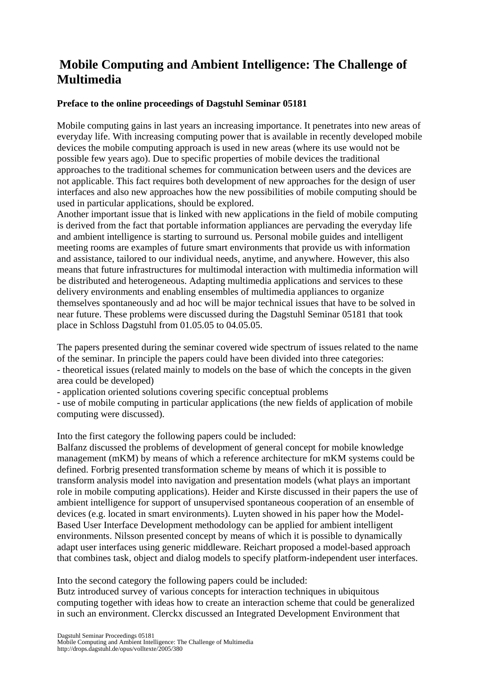## **Mobile Computing and Ambient Intelligence: The Challenge of Multimedia**

## **Preface to the online proceedings of Dagstuhl Seminar 05181**

Mobile computing gains in last years an increasing importance. It penetrates into new areas of everyday life. With increasing computing power that is available in recently developed mobile devices the mobile computing approach is used in new areas (where its use would not be possible few years ago). Due to specific properties of mobile devices the traditional approaches to the traditional schemes for communication between users and the devices are not applicable. This fact requires both development of new approaches for the design of user interfaces and also new approaches how the new possibilities of mobile computing should be used in particular applications, should be explored.

Another important issue that is linked with new applications in the field of mobile computing is derived from the fact that portable information appliances are pervading the everyday life and ambient intelligence is starting to surround us. Personal mobile guides and intelligent meeting rooms are examples of future smart environments that provide us with information and assistance, tailored to our individual needs, anytime, and anywhere. However, this also means that future infrastructures for multimodal interaction with multimedia information will be distributed and heterogeneous. Adapting multimedia applications and services to these delivery environments and enabling ensembles of multimedia appliances to organize themselves spontaneously and ad hoc will be major technical issues that have to be solved in near future. These problems were discussed during the Dagstuhl Seminar 05181 that took place in Schloss Dagstuhl from 01.05.05 to 04.05.05.

The papers presented during the seminar covered wide spectrum of issues related to the name of the seminar. In principle the papers could have been divided into three categories: - theoretical issues (related mainly to models on the base of which the concepts in the given area could be developed)

- application oriented solutions covering specific conceptual problems

- use of mobile computing in particular applications (the new fields of application of mobile computing were discussed).

Into the first category the following papers could be included:

Balfanz discussed the problems of development of general concept for mobile knowledge management (mKM) by means of which a reference architecture for mKM systems could be defined. Forbrig presented transformation scheme by means of which it is possible to transform analysis model into navigation and presentation models (what plays an important role in mobile computing applications). Heider and Kirste discussed in their papers the use of ambient intelligence for support of unsupervised spontaneous cooperation of an ensemble of devices (e.g. located in smart environments). Luyten showed in his paper how the Model-Based User Interface Development methodology can be applied for ambient intelligent environments. Nilsson presented concept by means of which it is possible to dynamically adapt user interfaces using generic middleware. Reichart proposed a model-based approach that combines task, object and dialog models to specify platform-independent user interfaces.

Into the second category the following papers could be included:

Butz introduced survey of various concepts for interaction techniques in ubiquitous computing together with ideas how to create an interaction scheme that could be generalized in such an environment. Clerckx discussed an Integrated Development Environment that